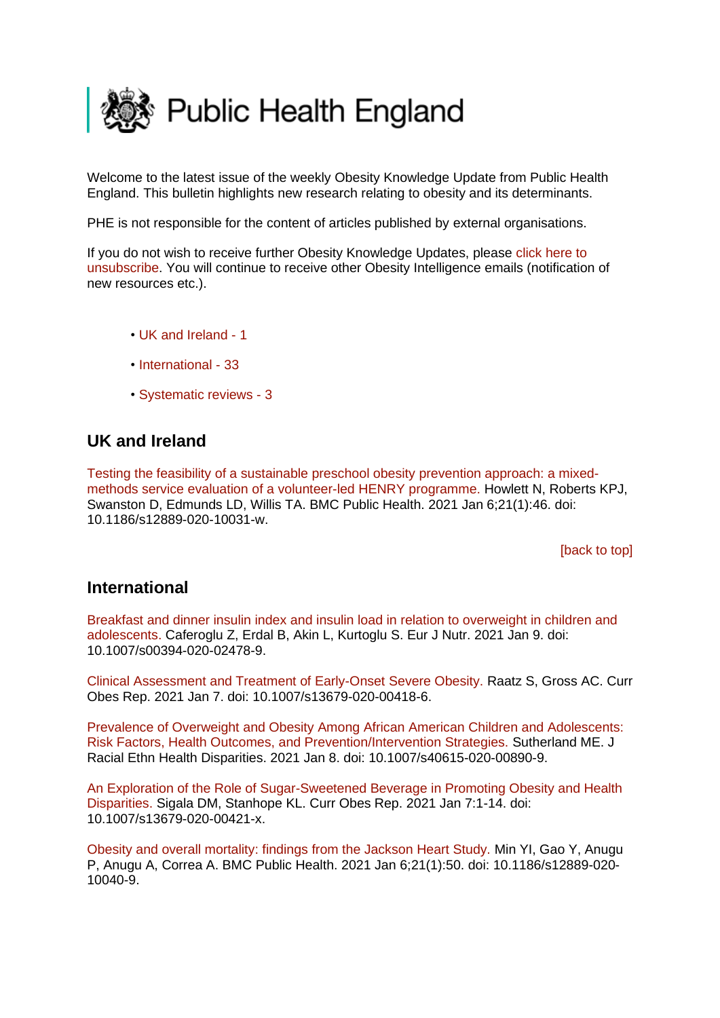<span id="page-0-2"></span>

Welcome to the latest issue of the weekly Obesity Knowledge Update from Public Health England. This bulletin highlights new research relating to obesity and its determinants.

PHE is not responsible for the content of articles published by external organisations.

If you do not wish to receive further Obesity Knowledge Updates, please [click here to](mailto:ObesityIntelligence@phe.gov.uk?subject=Unsubscribe%20from%20Knowledge%20Update%20mailing%20list)  [unsubscribe.](mailto:ObesityIntelligence@phe.gov.uk?subject=Unsubscribe%20from%20Knowledge%20Update%20mailing%20list) You will continue to receive other Obesity Intelligence emails (notification of new resources etc.).

- • [UK and Ireland -](#page-0-0) 1
- [International -](#page-0-1) 33
- [Systematic reviews -](#page-3-0) 3

# <span id="page-0-0"></span>**UK and Ireland**

[Testing the feasibility of a sustainable preschool obesity prevention approach: a mixed](https://eur01.safelinks.protection.outlook.com/?url=https%3A%2F%2Fpubmed.ncbi.nlm.nih.gov%2F33407291%2F&data=04%7C01%7CMaggie.Graham%40phe.gov.uk%7C9e2a88e7d1a54e2fb5f208d8b650ae87%7Cee4e14994a354b2ead475f3cf9de8666%7C0%7C0%7C637459804921845142%7CUnknown%7CTWFpbGZsb3d8eyJWIjoiMC4wLjAwMDAiLCJQIjoiV2luMzIiLCJBTiI6Ik1haWwiLCJXVCI6Mn0%3D%7C1000&sdata=hvb27GB85IEgSUhNm2n8RU%2FrW4vuCN0SypFCVHLc8Jg%3D&reserved=0)[methods service evaluation of a volunteer-led HENRY programme. H](https://eur01.safelinks.protection.outlook.com/?url=https%3A%2F%2Fpubmed.ncbi.nlm.nih.gov%2F33407291%2F&data=04%7C01%7CMaggie.Graham%40phe.gov.uk%7C9e2a88e7d1a54e2fb5f208d8b650ae87%7Cee4e14994a354b2ead475f3cf9de8666%7C0%7C0%7C637459804921845142%7CUnknown%7CTWFpbGZsb3d8eyJWIjoiMC4wLjAwMDAiLCJQIjoiV2luMzIiLCJBTiI6Ik1haWwiLCJXVCI6Mn0%3D%7C1000&sdata=hvb27GB85IEgSUhNm2n8RU%2FrW4vuCN0SypFCVHLc8Jg%3D&reserved=0)owlett N, Roberts KPJ, Swanston D, Edmunds LD, Willis TA. BMC Public Health. 2021 Jan 6;21(1):46. doi: 10.1186/s12889-020-10031-w.

[\[back to top\]](#page-0-2)

## <span id="page-0-1"></span>**International**

[Breakfast and dinner insulin index and insulin load in relation to overweight in children and](https://eur01.safelinks.protection.outlook.com/?url=https%3A%2F%2Fpubmed.ncbi.nlm.nih.gov%2F33420527%2F&data=04%7C01%7CMaggie.Graham%40phe.gov.uk%7C9e2a88e7d1a54e2fb5f208d8b650ae87%7Cee4e14994a354b2ead475f3cf9de8666%7C0%7C0%7C637459804921855138%7CUnknown%7CTWFpbGZsb3d8eyJWIjoiMC4wLjAwMDAiLCJQIjoiV2luMzIiLCJBTiI6Ik1haWwiLCJXVCI6Mn0%3D%7C1000&sdata=quKIgaQS9DhFFOZPz%2F8pmeDI%2BHD5hWEoFZ%2BzhX1uYLo%3D&reserved=0)  [adolescents. C](https://eur01.safelinks.protection.outlook.com/?url=https%3A%2F%2Fpubmed.ncbi.nlm.nih.gov%2F33420527%2F&data=04%7C01%7CMaggie.Graham%40phe.gov.uk%7C9e2a88e7d1a54e2fb5f208d8b650ae87%7Cee4e14994a354b2ead475f3cf9de8666%7C0%7C0%7C637459804921855138%7CUnknown%7CTWFpbGZsb3d8eyJWIjoiMC4wLjAwMDAiLCJQIjoiV2luMzIiLCJBTiI6Ik1haWwiLCJXVCI6Mn0%3D%7C1000&sdata=quKIgaQS9DhFFOZPz%2F8pmeDI%2BHD5hWEoFZ%2BzhX1uYLo%3D&reserved=0)aferoglu Z, Erdal B, Akin L, Kurtoglu S. Eur J Nutr. 2021 Jan 9. doi: 10.1007/s00394-020-02478-9.

[Clinical Assessment and Treatment of Early-Onset Severe Obesity. R](https://eur01.safelinks.protection.outlook.com/?url=https%3A%2F%2Fpubmed.ncbi.nlm.nih.gov%2F33411312%2F&data=04%7C01%7CMaggie.Graham%40phe.gov.uk%7C9e2a88e7d1a54e2fb5f208d8b650ae87%7Cee4e14994a354b2ead475f3cf9de8666%7C0%7C0%7C637459804921855138%7CUnknown%7CTWFpbGZsb3d8eyJWIjoiMC4wLjAwMDAiLCJQIjoiV2luMzIiLCJBTiI6Ik1haWwiLCJXVCI6Mn0%3D%7C1000&sdata=F62l7TlIZG2UJ4grYdZyvsjNBkuK2SMPeAMsAhOoBgs%3D&reserved=0)aatz S, Gross AC. Curr Obes Rep. 2021 Jan 7. doi: 10.1007/s13679-020-00418-6.

[Prevalence of Overweight and Obesity Among African American Children and Adolescents:](https://eur01.safelinks.protection.outlook.com/?url=https%3A%2F%2Fpubmed.ncbi.nlm.nih.gov%2F33420607%2F&data=04%7C01%7CMaggie.Graham%40phe.gov.uk%7C9e2a88e7d1a54e2fb5f208d8b650ae87%7Cee4e14994a354b2ead475f3cf9de8666%7C0%7C0%7C637459804921875128%7CUnknown%7CTWFpbGZsb3d8eyJWIjoiMC4wLjAwMDAiLCJQIjoiV2luMzIiLCJBTiI6Ik1haWwiLCJXVCI6Mn0%3D%7C1000&sdata=AOzyc%2Bp%2F9owShk9BZ6o9E2IkCCHOcg%2Fc3JRgIoRX64g%3D&reserved=0)  [Risk Factors, Health Outcomes, and Prevention/Intervention Strategies. S](https://eur01.safelinks.protection.outlook.com/?url=https%3A%2F%2Fpubmed.ncbi.nlm.nih.gov%2F33420607%2F&data=04%7C01%7CMaggie.Graham%40phe.gov.uk%7C9e2a88e7d1a54e2fb5f208d8b650ae87%7Cee4e14994a354b2ead475f3cf9de8666%7C0%7C0%7C637459804921875128%7CUnknown%7CTWFpbGZsb3d8eyJWIjoiMC4wLjAwMDAiLCJQIjoiV2luMzIiLCJBTiI6Ik1haWwiLCJXVCI6Mn0%3D%7C1000&sdata=AOzyc%2Bp%2F9owShk9BZ6o9E2IkCCHOcg%2Fc3JRgIoRX64g%3D&reserved=0)utherland ME. J Racial Ethn Health Disparities. 2021 Jan 8. doi: 10.1007/s40615-020-00890-9.

[An Exploration of the Role of Sugar-Sweetened Beverage in Promoting Obesity and Health](https://eur01.safelinks.protection.outlook.com/?url=https%3A%2F%2Fpubmed.ncbi.nlm.nih.gov%2F33411311%2F&data=04%7C01%7CMaggie.Graham%40phe.gov.uk%7C9e2a88e7d1a54e2fb5f208d8b650ae87%7Cee4e14994a354b2ead475f3cf9de8666%7C0%7C0%7C637459804921885119%7CUnknown%7CTWFpbGZsb3d8eyJWIjoiMC4wLjAwMDAiLCJQIjoiV2luMzIiLCJBTiI6Ik1haWwiLCJXVCI6Mn0%3D%7C1000&sdata=un0apcIAUQrYq5lrwRBVvIC0v0lApi9FM4MaYkrzwEg%3D&reserved=0)  [Disparities. S](https://eur01.safelinks.protection.outlook.com/?url=https%3A%2F%2Fpubmed.ncbi.nlm.nih.gov%2F33411311%2F&data=04%7C01%7CMaggie.Graham%40phe.gov.uk%7C9e2a88e7d1a54e2fb5f208d8b650ae87%7Cee4e14994a354b2ead475f3cf9de8666%7C0%7C0%7C637459804921885119%7CUnknown%7CTWFpbGZsb3d8eyJWIjoiMC4wLjAwMDAiLCJQIjoiV2luMzIiLCJBTiI6Ik1haWwiLCJXVCI6Mn0%3D%7C1000&sdata=un0apcIAUQrYq5lrwRBVvIC0v0lApi9FM4MaYkrzwEg%3D&reserved=0)igala DM, Stanhope KL. Curr Obes Rep. 2021 Jan 7:1-14. doi: 10.1007/s13679-020-00421-x.

[Obesity and overall mortality: findings from the Jackson Heart Study. M](https://eur01.safelinks.protection.outlook.com/?url=https%3A%2F%2Fpubmed.ncbi.nlm.nih.gov%2F33407308%2F&data=04%7C01%7CMaggie.Graham%40phe.gov.uk%7C9e2a88e7d1a54e2fb5f208d8b650ae87%7Cee4e14994a354b2ead475f3cf9de8666%7C0%7C0%7C637459804921885119%7CUnknown%7CTWFpbGZsb3d8eyJWIjoiMC4wLjAwMDAiLCJQIjoiV2luMzIiLCJBTiI6Ik1haWwiLCJXVCI6Mn0%3D%7C1000&sdata=hHRD%2BmVyi%2BDBJwCWYFExCLQcKLGkglhXec2%2BvnRED24%3D&reserved=0)in YI, Gao Y, Anugu P, Anugu A, Correa A. BMC Public Health. 2021 Jan 6;21(1):50. doi: 10.1186/s12889-020- 10040-9.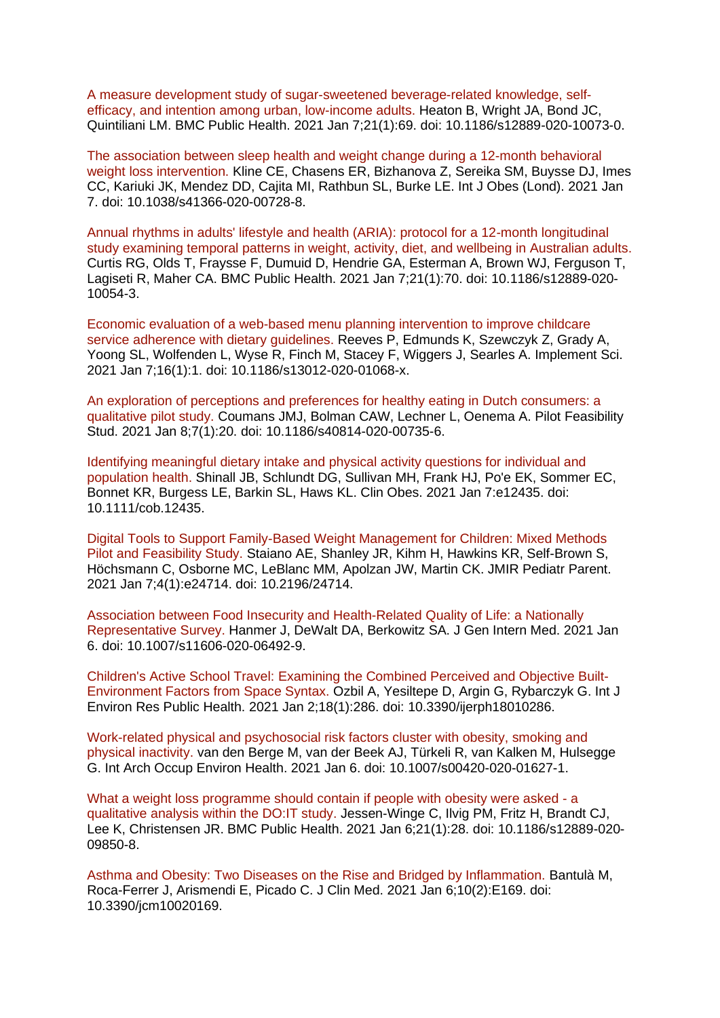[A measure development study of sugar-sweetened beverage-related knowledge, self](https://eur01.safelinks.protection.outlook.com/?url=https%3A%2F%2Fpubmed.ncbi.nlm.nih.gov%2F33413264%2F&data=04%7C01%7CMaggie.Graham%40phe.gov.uk%7C9e2a88e7d1a54e2fb5f208d8b650ae87%7Cee4e14994a354b2ead475f3cf9de8666%7C0%7C0%7C637459804921905110%7CUnknown%7CTWFpbGZsb3d8eyJWIjoiMC4wLjAwMDAiLCJQIjoiV2luMzIiLCJBTiI6Ik1haWwiLCJXVCI6Mn0%3D%7C1000&sdata=qXiFVO%2FdDfCVhQabikqMfDrKYomEfGUBNLjkshooFtI%3D&reserved=0)[efficacy, and intention among urban, low-income adults. H](https://eur01.safelinks.protection.outlook.com/?url=https%3A%2F%2Fpubmed.ncbi.nlm.nih.gov%2F33413264%2F&data=04%7C01%7CMaggie.Graham%40phe.gov.uk%7C9e2a88e7d1a54e2fb5f208d8b650ae87%7Cee4e14994a354b2ead475f3cf9de8666%7C0%7C0%7C637459804921905110%7CUnknown%7CTWFpbGZsb3d8eyJWIjoiMC4wLjAwMDAiLCJQIjoiV2luMzIiLCJBTiI6Ik1haWwiLCJXVCI6Mn0%3D%7C1000&sdata=qXiFVO%2FdDfCVhQabikqMfDrKYomEfGUBNLjkshooFtI%3D&reserved=0)eaton B, Wright JA, Bond JC, Quintiliani LM. BMC Public Health. 2021 Jan 7;21(1):69. doi: 10.1186/s12889-020-10073-0.

[The association between sleep health and weight change during a 12-month behavioral](https://eur01.safelinks.protection.outlook.com/?url=https%3A%2F%2Fpubmed.ncbi.nlm.nih.gov%2F33414489%2F&data=04%7C01%7CMaggie.Graham%40phe.gov.uk%7C9e2a88e7d1a54e2fb5f208d8b650ae87%7Cee4e14994a354b2ead475f3cf9de8666%7C0%7C0%7C637459804921905110%7CUnknown%7CTWFpbGZsb3d8eyJWIjoiMC4wLjAwMDAiLCJQIjoiV2luMzIiLCJBTiI6Ik1haWwiLCJXVCI6Mn0%3D%7C1000&sdata=sI%2BJdYtahUB1NdlgVJxicHRo93aIbdwq3r0uIvHcED0%3D&reserved=0)  [weight loss intervention. K](https://eur01.safelinks.protection.outlook.com/?url=https%3A%2F%2Fpubmed.ncbi.nlm.nih.gov%2F33414489%2F&data=04%7C01%7CMaggie.Graham%40phe.gov.uk%7C9e2a88e7d1a54e2fb5f208d8b650ae87%7Cee4e14994a354b2ead475f3cf9de8666%7C0%7C0%7C637459804921905110%7CUnknown%7CTWFpbGZsb3d8eyJWIjoiMC4wLjAwMDAiLCJQIjoiV2luMzIiLCJBTiI6Ik1haWwiLCJXVCI6Mn0%3D%7C1000&sdata=sI%2BJdYtahUB1NdlgVJxicHRo93aIbdwq3r0uIvHcED0%3D&reserved=0)line CE, Chasens ER, Bizhanova Z, Sereika SM, Buysse DJ, Imes CC, Kariuki JK, Mendez DD, Cajita MI, Rathbun SL, Burke LE. Int J Obes (Lond). 2021 Jan 7. doi: 10.1038/s41366-020-00728-8.

[Annual rhythms in adults' lifestyle and health \(ARIA\): protocol for a 12-month longitudinal](https://eur01.safelinks.protection.outlook.com/?url=https%3A%2F%2Fpubmed.ncbi.nlm.nih.gov%2F33413247%2F&data=04%7C01%7CMaggie.Graham%40phe.gov.uk%7C9e2a88e7d1a54e2fb5f208d8b650ae87%7Cee4e14994a354b2ead475f3cf9de8666%7C0%7C0%7C637459804921915104%7CUnknown%7CTWFpbGZsb3d8eyJWIjoiMC4wLjAwMDAiLCJQIjoiV2luMzIiLCJBTiI6Ik1haWwiLCJXVCI6Mn0%3D%7C1000&sdata=91VR3Kj2VYLUNb76kOl7AHi3iB5leog412sizBY%2FiQk%3D&reserved=0)  [study examining temporal patterns in weight, activity, diet, and wellbeing in Australian adults.](https://eur01.safelinks.protection.outlook.com/?url=https%3A%2F%2Fpubmed.ncbi.nlm.nih.gov%2F33413247%2F&data=04%7C01%7CMaggie.Graham%40phe.gov.uk%7C9e2a88e7d1a54e2fb5f208d8b650ae87%7Cee4e14994a354b2ead475f3cf9de8666%7C0%7C0%7C637459804921915104%7CUnknown%7CTWFpbGZsb3d8eyJWIjoiMC4wLjAwMDAiLCJQIjoiV2luMzIiLCJBTiI6Ik1haWwiLCJXVCI6Mn0%3D%7C1000&sdata=91VR3Kj2VYLUNb76kOl7AHi3iB5leog412sizBY%2FiQk%3D&reserved=0)  Curtis RG, Olds T, Fraysse F, Dumuid D, Hendrie GA, Esterman A, Brown WJ, Ferguson T, Lagiseti R, Maher CA. BMC Public Health. 2021 Jan 7;21(1):70. doi: 10.1186/s12889-020- 10054-3.

[Economic evaluation of a web-based menu planning intervention to improve childcare](https://eur01.safelinks.protection.outlook.com/?url=https%3A%2F%2Fpubmed.ncbi.nlm.nih.gov%2F33413491%2F&data=04%7C01%7CMaggie.Graham%40phe.gov.uk%7C9e2a88e7d1a54e2fb5f208d8b650ae87%7Cee4e14994a354b2ead475f3cf9de8666%7C0%7C0%7C637459804921915104%7CUnknown%7CTWFpbGZsb3d8eyJWIjoiMC4wLjAwMDAiLCJQIjoiV2luMzIiLCJBTiI6Ik1haWwiLCJXVCI6Mn0%3D%7C1000&sdata=Qug8a%2FtL345FPDAtiTM2njj%2FJ6P4Fl9Eb5n1fmh4%2BRI%3D&reserved=0)  [service adherence with dietary guidelines. R](https://eur01.safelinks.protection.outlook.com/?url=https%3A%2F%2Fpubmed.ncbi.nlm.nih.gov%2F33413491%2F&data=04%7C01%7CMaggie.Graham%40phe.gov.uk%7C9e2a88e7d1a54e2fb5f208d8b650ae87%7Cee4e14994a354b2ead475f3cf9de8666%7C0%7C0%7C637459804921915104%7CUnknown%7CTWFpbGZsb3d8eyJWIjoiMC4wLjAwMDAiLCJQIjoiV2luMzIiLCJBTiI6Ik1haWwiLCJXVCI6Mn0%3D%7C1000&sdata=Qug8a%2FtL345FPDAtiTM2njj%2FJ6P4Fl9Eb5n1fmh4%2BRI%3D&reserved=0)eeves P, Edmunds K, Szewczyk Z, Grady A, Yoong SL, Wolfenden L, Wyse R, Finch M, Stacey F, Wiggers J, Searles A. Implement Sci. 2021 Jan 7;16(1):1. doi: 10.1186/s13012-020-01068-x.

[An exploration of perceptions and preferences for healthy eating in Dutch consumers: a](https://eur01.safelinks.protection.outlook.com/?url=https%3A%2F%2Fpubmed.ncbi.nlm.nih.gov%2F33419486%2F&data=04%7C01%7CMaggie.Graham%40phe.gov.uk%7C9e2a88e7d1a54e2fb5f208d8b650ae87%7Cee4e14994a354b2ead475f3cf9de8666%7C0%7C0%7C637459804921925099%7CUnknown%7CTWFpbGZsb3d8eyJWIjoiMC4wLjAwMDAiLCJQIjoiV2luMzIiLCJBTiI6Ik1haWwiLCJXVCI6Mn0%3D%7C1000&sdata=QZ%2Bg4qSHboMbQ4P4PTXCagj189QP9GPnmaLamrd8ngE%3D&reserved=0)  [qualitative pilot study. C](https://eur01.safelinks.protection.outlook.com/?url=https%3A%2F%2Fpubmed.ncbi.nlm.nih.gov%2F33419486%2F&data=04%7C01%7CMaggie.Graham%40phe.gov.uk%7C9e2a88e7d1a54e2fb5f208d8b650ae87%7Cee4e14994a354b2ead475f3cf9de8666%7C0%7C0%7C637459804921925099%7CUnknown%7CTWFpbGZsb3d8eyJWIjoiMC4wLjAwMDAiLCJQIjoiV2luMzIiLCJBTiI6Ik1haWwiLCJXVCI6Mn0%3D%7C1000&sdata=QZ%2Bg4qSHboMbQ4P4PTXCagj189QP9GPnmaLamrd8ngE%3D&reserved=0)oumans JMJ, Bolman CAW, Lechner L, Oenema A. Pilot Feasibility Stud. 2021 Jan 8;7(1):20. doi: 10.1186/s40814-020-00735-6.

[Identifying meaningful dietary intake and physical activity questions for individual and](https://eur01.safelinks.protection.outlook.com/?url=https%3A%2F%2Fpubmed.ncbi.nlm.nih.gov%2F33412615%2F&data=04%7C01%7CMaggie.Graham%40phe.gov.uk%7C9e2a88e7d1a54e2fb5f208d8b650ae87%7Cee4e14994a354b2ead475f3cf9de8666%7C0%7C0%7C637459804921925099%7CUnknown%7CTWFpbGZsb3d8eyJWIjoiMC4wLjAwMDAiLCJQIjoiV2luMzIiLCJBTiI6Ik1haWwiLCJXVCI6Mn0%3D%7C1000&sdata=DMTKjn3ZQ4OO5GcfuAydXHzH2nenKJLMR2iWB61munU%3D&reserved=0)  [population health. S](https://eur01.safelinks.protection.outlook.com/?url=https%3A%2F%2Fpubmed.ncbi.nlm.nih.gov%2F33412615%2F&data=04%7C01%7CMaggie.Graham%40phe.gov.uk%7C9e2a88e7d1a54e2fb5f208d8b650ae87%7Cee4e14994a354b2ead475f3cf9de8666%7C0%7C0%7C637459804921925099%7CUnknown%7CTWFpbGZsb3d8eyJWIjoiMC4wLjAwMDAiLCJQIjoiV2luMzIiLCJBTiI6Ik1haWwiLCJXVCI6Mn0%3D%7C1000&sdata=DMTKjn3ZQ4OO5GcfuAydXHzH2nenKJLMR2iWB61munU%3D&reserved=0)hinall JB, Schlundt DG, Sullivan MH, Frank HJ, Po'e EK, Sommer EC, Bonnet KR, Burgess LE, Barkin SL, Haws KL. Clin Obes. 2021 Jan 7:e12435. doi: 10.1111/cob.12435.

[Digital Tools to Support Family-Based Weight Management for Children: Mixed Methods](https://eur01.safelinks.protection.outlook.com/?url=https%3A%2F%2Fpubmed.ncbi.nlm.nih.gov%2F33410760%2F&data=04%7C01%7CMaggie.Graham%40phe.gov.uk%7C9e2a88e7d1a54e2fb5f208d8b650ae87%7Cee4e14994a354b2ead475f3cf9de8666%7C0%7C0%7C637459804921935095%7CUnknown%7CTWFpbGZsb3d8eyJWIjoiMC4wLjAwMDAiLCJQIjoiV2luMzIiLCJBTiI6Ik1haWwiLCJXVCI6Mn0%3D%7C1000&sdata=Xv6BQYH1LRkpHO4UWaU8EC7Kv5%2BlJsiqlyiOfrdl1nw%3D&reserved=0)  [Pilot and Feasibility Study. S](https://eur01.safelinks.protection.outlook.com/?url=https%3A%2F%2Fpubmed.ncbi.nlm.nih.gov%2F33410760%2F&data=04%7C01%7CMaggie.Graham%40phe.gov.uk%7C9e2a88e7d1a54e2fb5f208d8b650ae87%7Cee4e14994a354b2ead475f3cf9de8666%7C0%7C0%7C637459804921935095%7CUnknown%7CTWFpbGZsb3d8eyJWIjoiMC4wLjAwMDAiLCJQIjoiV2luMzIiLCJBTiI6Ik1haWwiLCJXVCI6Mn0%3D%7C1000&sdata=Xv6BQYH1LRkpHO4UWaU8EC7Kv5%2BlJsiqlyiOfrdl1nw%3D&reserved=0)taiano AE, Shanley JR, Kihm H, Hawkins KR, Self-Brown S, Höchsmann C, Osborne MC, LeBlanc MM, Apolzan JW, Martin CK. JMIR Pediatr Parent. 2021 Jan 7;4(1):e24714. doi: 10.2196/24714.

[Association between Food Insecurity and Health-Related Quality of Life: a Nationally](https://eur01.safelinks.protection.outlook.com/?url=https%3A%2F%2Fpubmed.ncbi.nlm.nih.gov%2F33409885%2F&data=04%7C01%7CMaggie.Graham%40phe.gov.uk%7C9e2a88e7d1a54e2fb5f208d8b650ae87%7Cee4e14994a354b2ead475f3cf9de8666%7C0%7C0%7C637459804921945084%7CUnknown%7CTWFpbGZsb3d8eyJWIjoiMC4wLjAwMDAiLCJQIjoiV2luMzIiLCJBTiI6Ik1haWwiLCJXVCI6Mn0%3D%7C1000&sdata=gu7i%2BrL64Myz8wCiZZJtAG5t8Crt%2FFVjjPg7WKoz4eQ%3D&reserved=0)  [Representative Survey. H](https://eur01.safelinks.protection.outlook.com/?url=https%3A%2F%2Fpubmed.ncbi.nlm.nih.gov%2F33409885%2F&data=04%7C01%7CMaggie.Graham%40phe.gov.uk%7C9e2a88e7d1a54e2fb5f208d8b650ae87%7Cee4e14994a354b2ead475f3cf9de8666%7C0%7C0%7C637459804921945084%7CUnknown%7CTWFpbGZsb3d8eyJWIjoiMC4wLjAwMDAiLCJQIjoiV2luMzIiLCJBTiI6Ik1haWwiLCJXVCI6Mn0%3D%7C1000&sdata=gu7i%2BrL64Myz8wCiZZJtAG5t8Crt%2FFVjjPg7WKoz4eQ%3D&reserved=0)anmer J, DeWalt DA, Berkowitz SA. J Gen Intern Med. 2021 Jan 6. doi: 10.1007/s11606-020-06492-9.

[Children's Active School Travel: Examining the Combined Perceived and Objective Built-](https://eur01.safelinks.protection.outlook.com/?url=https%3A%2F%2Fpubmed.ncbi.nlm.nih.gov%2F33401738%2F&data=04%7C01%7CMaggie.Graham%40phe.gov.uk%7C9e2a88e7d1a54e2fb5f208d8b650ae87%7Cee4e14994a354b2ead475f3cf9de8666%7C0%7C0%7C637459804921945084%7CUnknown%7CTWFpbGZsb3d8eyJWIjoiMC4wLjAwMDAiLCJQIjoiV2luMzIiLCJBTiI6Ik1haWwiLCJXVCI6Mn0%3D%7C1000&sdata=gwEAMcFmSkDBVbhYlLe3KXYiDZsQ5lFmh4V24z7qlCw%3D&reserved=0)[Environment Factors from Space Syntax. O](https://eur01.safelinks.protection.outlook.com/?url=https%3A%2F%2Fpubmed.ncbi.nlm.nih.gov%2F33401738%2F&data=04%7C01%7CMaggie.Graham%40phe.gov.uk%7C9e2a88e7d1a54e2fb5f208d8b650ae87%7Cee4e14994a354b2ead475f3cf9de8666%7C0%7C0%7C637459804921945084%7CUnknown%7CTWFpbGZsb3d8eyJWIjoiMC4wLjAwMDAiLCJQIjoiV2luMzIiLCJBTiI6Ik1haWwiLCJXVCI6Mn0%3D%7C1000&sdata=gwEAMcFmSkDBVbhYlLe3KXYiDZsQ5lFmh4V24z7qlCw%3D&reserved=0)zbil A, Yesiltepe D, Argin G, Rybarczyk G. Int J Environ Res Public Health. 2021 Jan 2;18(1):286. doi: 10.3390/ijerph18010286.

[Work-related physical and psychosocial risk factors cluster with obesity, smoking and](https://eur01.safelinks.protection.outlook.com/?url=https%3A%2F%2Fpubmed.ncbi.nlm.nih.gov%2F33409697%2F&data=04%7C01%7CMaggie.Graham%40phe.gov.uk%7C9e2a88e7d1a54e2fb5f208d8b650ae87%7Cee4e14994a354b2ead475f3cf9de8666%7C0%7C0%7C637459804921965076%7CUnknown%7CTWFpbGZsb3d8eyJWIjoiMC4wLjAwMDAiLCJQIjoiV2luMzIiLCJBTiI6Ik1haWwiLCJXVCI6Mn0%3D%7C1000&sdata=WouW7YLqyDQ%2BW08HD1sfwk3vJy0eEA6rYF8I7IMcA5E%3D&reserved=0)  [physical inactivity. v](https://eur01.safelinks.protection.outlook.com/?url=https%3A%2F%2Fpubmed.ncbi.nlm.nih.gov%2F33409697%2F&data=04%7C01%7CMaggie.Graham%40phe.gov.uk%7C9e2a88e7d1a54e2fb5f208d8b650ae87%7Cee4e14994a354b2ead475f3cf9de8666%7C0%7C0%7C637459804921965076%7CUnknown%7CTWFpbGZsb3d8eyJWIjoiMC4wLjAwMDAiLCJQIjoiV2luMzIiLCJBTiI6Ik1haWwiLCJXVCI6Mn0%3D%7C1000&sdata=WouW7YLqyDQ%2BW08HD1sfwk3vJy0eEA6rYF8I7IMcA5E%3D&reserved=0)an den Berge M, van der Beek AJ, Türkeli R, van Kalken M, Hulsegge G. Int Arch Occup Environ Health. 2021 Jan 6. doi: 10.1007/s00420-020-01627-1.

[What a weight loss programme should contain if people with obesity were asked -](https://eur01.safelinks.protection.outlook.com/?url=https%3A%2F%2Fpubmed.ncbi.nlm.nih.gov%2F33407271%2F&data=04%7C01%7CMaggie.Graham%40phe.gov.uk%7C9e2a88e7d1a54e2fb5f208d8b650ae87%7Cee4e14994a354b2ead475f3cf9de8666%7C0%7C0%7C637459804921975067%7CUnknown%7CTWFpbGZsb3d8eyJWIjoiMC4wLjAwMDAiLCJQIjoiV2luMzIiLCJBTiI6Ik1haWwiLCJXVCI6Mn0%3D%7C1000&sdata=QgES3yrwyNjPlHdryvbJE0zqKpbKTV2bqEbkTQfFd68%3D&reserved=0) a [qualitative analysis within the DO:IT study. J](https://eur01.safelinks.protection.outlook.com/?url=https%3A%2F%2Fpubmed.ncbi.nlm.nih.gov%2F33407271%2F&data=04%7C01%7CMaggie.Graham%40phe.gov.uk%7C9e2a88e7d1a54e2fb5f208d8b650ae87%7Cee4e14994a354b2ead475f3cf9de8666%7C0%7C0%7C637459804921975067%7CUnknown%7CTWFpbGZsb3d8eyJWIjoiMC4wLjAwMDAiLCJQIjoiV2luMzIiLCJBTiI6Ik1haWwiLCJXVCI6Mn0%3D%7C1000&sdata=QgES3yrwyNjPlHdryvbJE0zqKpbKTV2bqEbkTQfFd68%3D&reserved=0)essen-Winge C, Ilvig PM, Fritz H, Brandt CJ, Lee K, Christensen JR. BMC Public Health. 2021 Jan 6;21(1):28. doi: 10.1186/s12889-020- 09850-8.

[Asthma and Obesity: Two Diseases on the Rise and Bridged by Inflammation. B](https://eur01.safelinks.protection.outlook.com/?url=https%3A%2F%2Fpubmed.ncbi.nlm.nih.gov%2F33418879%2F&data=04%7C01%7CMaggie.Graham%40phe.gov.uk%7C9e2a88e7d1a54e2fb5f208d8b650ae87%7Cee4e14994a354b2ead475f3cf9de8666%7C0%7C0%7C637459804921795171%7CUnknown%7CTWFpbGZsb3d8eyJWIjoiMC4wLjAwMDAiLCJQIjoiV2luMzIiLCJBTiI6Ik1haWwiLCJXVCI6Mn0%3D%7C1000&sdata=BIf%2F6g%2F3k3%2FrJm9reNKGAwkoPttoct4KRG99tzgNgVU%3D&reserved=0)antulà M, Roca-Ferrer J, Arismendi E, Picado C. J Clin Med. 2021 Jan 6;10(2):E169. doi: 10.3390/jcm10020169.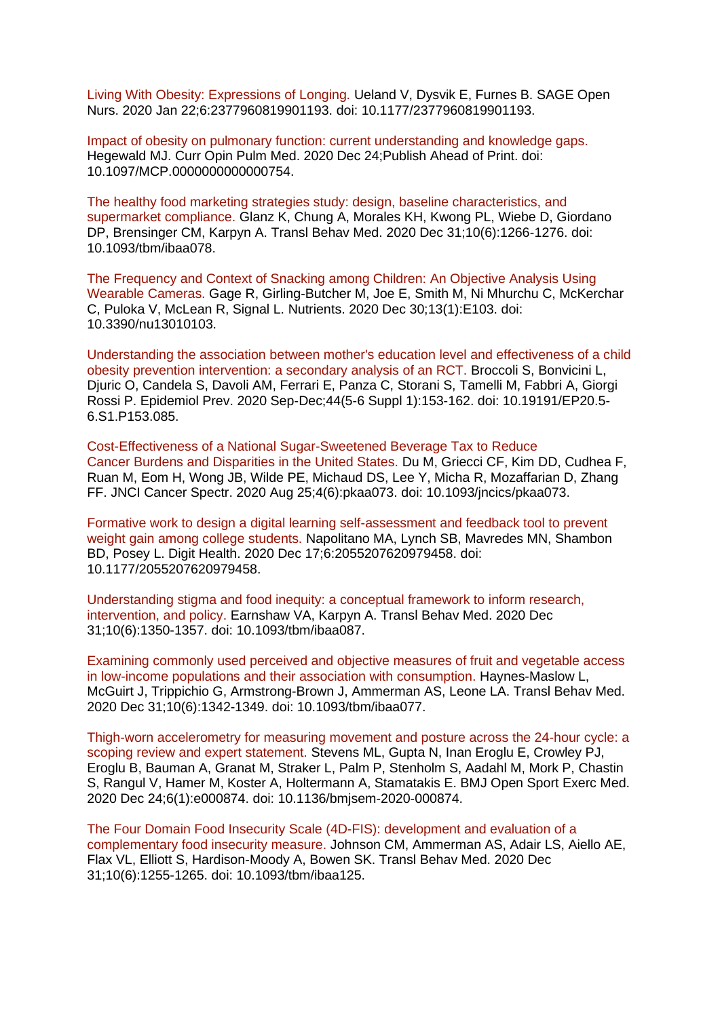[Living With Obesity: Expressions of Longing. U](https://eur01.safelinks.protection.outlook.com/?url=https%3A%2F%2Fpubmed.ncbi.nlm.nih.gov%2F33415264%2F&data=04%7C01%7CMaggie.Graham%40phe.gov.uk%7C9e2a88e7d1a54e2fb5f208d8b650ae87%7Cee4e14994a354b2ead475f3cf9de8666%7C0%7C0%7C637459804921745197%7CUnknown%7CTWFpbGZsb3d8eyJWIjoiMC4wLjAwMDAiLCJQIjoiV2luMzIiLCJBTiI6Ik1haWwiLCJXVCI6Mn0%3D%7C1000&sdata=Reg9q2y6giSjrgZVvAfahpVbWj9TDt4iJzl%2Fqztr3ss%3D&reserved=0)eland V, Dysvik E, Furnes B. SAGE Open Nurs. 2020 Jan 22;6:2377960819901193. doi: 10.1177/2377960819901193.

[Impact of obesity on pulmonary function: current understanding and knowledge gaps.](https://eur01.safelinks.protection.outlook.com/?url=https%3A%2F%2Fpubmed.ncbi.nlm.nih.gov%2F33394747%2F&data=04%7C01%7CMaggie.Graham%40phe.gov.uk%7C9e2a88e7d1a54e2fb5f208d8b650ae87%7Cee4e14994a354b2ead475f3cf9de8666%7C0%7C0%7C637459804921755190%7CUnknown%7CTWFpbGZsb3d8eyJWIjoiMC4wLjAwMDAiLCJQIjoiV2luMzIiLCJBTiI6Ik1haWwiLCJXVCI6Mn0%3D%7C1000&sdata=RzmMWan53mN8FuS4Lkh8rEENDka7l7LJ4TYPw09c1jA%3D&reserved=0)  Hegewald MJ. Curr Opin Pulm Med. 2020 Dec 24;Publish Ahead of Print. doi: 10.1097/MCP.0000000000000754.

[The healthy food marketing strategies study: design, baseline characteristics, and](https://eur01.safelinks.protection.outlook.com/?url=https%3A%2F%2Fpubmed.ncbi.nlm.nih.gov%2F33421079%2F&data=04%7C01%7CMaggie.Graham%40phe.gov.uk%7C9e2a88e7d1a54e2fb5f208d8b650ae87%7Cee4e14994a354b2ead475f3cf9de8666%7C0%7C0%7C637459804921765188%7CUnknown%7CTWFpbGZsb3d8eyJWIjoiMC4wLjAwMDAiLCJQIjoiV2luMzIiLCJBTiI6Ik1haWwiLCJXVCI6Mn0%3D%7C1000&sdata=1KsTHBKE8jR6uQ8B1L10Hvwo8HVc%2BAc6kZPDokjPopw%3D&reserved=0)  [supermarket compliance. G](https://eur01.safelinks.protection.outlook.com/?url=https%3A%2F%2Fpubmed.ncbi.nlm.nih.gov%2F33421079%2F&data=04%7C01%7CMaggie.Graham%40phe.gov.uk%7C9e2a88e7d1a54e2fb5f208d8b650ae87%7Cee4e14994a354b2ead475f3cf9de8666%7C0%7C0%7C637459804921765188%7CUnknown%7CTWFpbGZsb3d8eyJWIjoiMC4wLjAwMDAiLCJQIjoiV2luMzIiLCJBTiI6Ik1haWwiLCJXVCI6Mn0%3D%7C1000&sdata=1KsTHBKE8jR6uQ8B1L10Hvwo8HVc%2BAc6kZPDokjPopw%3D&reserved=0)lanz K, Chung A, Morales KH, Kwong PL, Wiebe D, Giordano DP, Brensinger CM, Karpyn A. Transl Behav Med. 2020 Dec 31;10(6):1266-1276. doi: 10.1093/tbm/ibaa078.

[The Frequency and Context of Snacking among Children: An Objective Analysis Using](https://eur01.safelinks.protection.outlook.com/?url=https%3A%2F%2Fpubmed.ncbi.nlm.nih.gov%2F33396846%2F&data=04%7C01%7CMaggie.Graham%40phe.gov.uk%7C9e2a88e7d1a54e2fb5f208d8b650ae87%7Cee4e14994a354b2ead475f3cf9de8666%7C0%7C0%7C637459804921765188%7CUnknown%7CTWFpbGZsb3d8eyJWIjoiMC4wLjAwMDAiLCJQIjoiV2luMzIiLCJBTiI6Ik1haWwiLCJXVCI6Mn0%3D%7C1000&sdata=Im9I4EESpgZiheLUDcAkc63LLVq4DieygYUQTFx%2FHcc%3D&reserved=0)  [Wearable Cameras. G](https://eur01.safelinks.protection.outlook.com/?url=https%3A%2F%2Fpubmed.ncbi.nlm.nih.gov%2F33396846%2F&data=04%7C01%7CMaggie.Graham%40phe.gov.uk%7C9e2a88e7d1a54e2fb5f208d8b650ae87%7Cee4e14994a354b2ead475f3cf9de8666%7C0%7C0%7C637459804921765188%7CUnknown%7CTWFpbGZsb3d8eyJWIjoiMC4wLjAwMDAiLCJQIjoiV2luMzIiLCJBTiI6Ik1haWwiLCJXVCI6Mn0%3D%7C1000&sdata=Im9I4EESpgZiheLUDcAkc63LLVq4DieygYUQTFx%2FHcc%3D&reserved=0)age R, Girling-Butcher M, Joe E, Smith M, Ni Mhurchu C, McKerchar C, Puloka V, McLean R, Signal L. Nutrients. 2020 Dec 30;13(1):E103. doi: 10.3390/nu13010103.

[Understanding the association between mother's education level and effectiveness of a child](https://eur01.safelinks.protection.outlook.com/?url=https%3A%2F%2Fpubmed.ncbi.nlm.nih.gov%2F33415958%2F&data=04%7C01%7CMaggie.Graham%40phe.gov.uk%7C9e2a88e7d1a54e2fb5f208d8b650ae87%7Cee4e14994a354b2ead475f3cf9de8666%7C0%7C0%7C637459804921775179%7CUnknown%7CTWFpbGZsb3d8eyJWIjoiMC4wLjAwMDAiLCJQIjoiV2luMzIiLCJBTiI6Ik1haWwiLCJXVCI6Mn0%3D%7C1000&sdata=ZKbjs7OGnrUhLUJog%2FyU5adMVC%2Fuugu0fVmB2dDnV7A%3D&reserved=0)  [obesity prevention intervention: a secondary analysis of an RCT. B](https://eur01.safelinks.protection.outlook.com/?url=https%3A%2F%2Fpubmed.ncbi.nlm.nih.gov%2F33415958%2F&data=04%7C01%7CMaggie.Graham%40phe.gov.uk%7C9e2a88e7d1a54e2fb5f208d8b650ae87%7Cee4e14994a354b2ead475f3cf9de8666%7C0%7C0%7C637459804921775179%7CUnknown%7CTWFpbGZsb3d8eyJWIjoiMC4wLjAwMDAiLCJQIjoiV2luMzIiLCJBTiI6Ik1haWwiLCJXVCI6Mn0%3D%7C1000&sdata=ZKbjs7OGnrUhLUJog%2FyU5adMVC%2Fuugu0fVmB2dDnV7A%3D&reserved=0)roccoli S, Bonvicini L, Djuric O, Candela S, Davoli AM, Ferrari E, Panza C, Storani S, Tamelli M, Fabbri A, Giorgi Rossi P. Epidemiol Prev. 2020 Sep-Dec;44(5-6 Suppl 1):153-162. doi: 10.19191/EP20.5- 6.S1.P153.085.

[Cost-Effectiveness of a National Sugar-Sweetened Beverage](https://eur01.safelinks.protection.outlook.com/?url=https%3A%2F%2Fpubmed.ncbi.nlm.nih.gov%2F33409452%2F&data=04%7C01%7CMaggie.Graham%40phe.gov.uk%7C9e2a88e7d1a54e2fb5f208d8b650ae87%7Cee4e14994a354b2ead475f3cf9de8666%7C0%7C0%7C637459804921775179%7CUnknown%7CTWFpbGZsb3d8eyJWIjoiMC4wLjAwMDAiLCJQIjoiV2luMzIiLCJBTiI6Ik1haWwiLCJXVCI6Mn0%3D%7C1000&sdata=9Nu2PslbXxi%2BgIT1oLmf5v4jJpWSR1qrFqDDJ2Exe3Q%3D&reserved=0) Tax to Reduce Cancer [Burdens and Disparities in the United States. D](https://eur01.safelinks.protection.outlook.com/?url=https%3A%2F%2Fpubmed.ncbi.nlm.nih.gov%2F33409452%2F&data=04%7C01%7CMaggie.Graham%40phe.gov.uk%7C9e2a88e7d1a54e2fb5f208d8b650ae87%7Cee4e14994a354b2ead475f3cf9de8666%7C0%7C0%7C637459804921775179%7CUnknown%7CTWFpbGZsb3d8eyJWIjoiMC4wLjAwMDAiLCJQIjoiV2luMzIiLCJBTiI6Ik1haWwiLCJXVCI6Mn0%3D%7C1000&sdata=9Nu2PslbXxi%2BgIT1oLmf5v4jJpWSR1qrFqDDJ2Exe3Q%3D&reserved=0)u M, Griecci CF, Kim DD, Cudhea F, Ruan M, Eom H, Wong JB, Wilde PE, Michaud DS, Lee Y, Micha R, Mozaffarian D, Zhang FF. JNCI Cancer Spectr. 2020 Aug 25;4(6):pkaa073. doi: 10.1093/jncics/pkaa073.

[Formative work to design a digital learning self-assessment and feedback tool](https://eur01.safelinks.protection.outlook.com/?url=https%3A%2F%2Fpubmed.ncbi.nlm.nih.gov%2F33414926%2F&data=04%7C01%7CMaggie.Graham%40phe.gov.uk%7C9e2a88e7d1a54e2fb5f208d8b650ae87%7Cee4e14994a354b2ead475f3cf9de8666%7C0%7C0%7C637459804921785174%7CUnknown%7CTWFpbGZsb3d8eyJWIjoiMC4wLjAwMDAiLCJQIjoiV2luMzIiLCJBTiI6Ik1haWwiLCJXVCI6Mn0%3D%7C1000&sdata=hs6iOF0rwoICAlz12xGQmeHNqUIm6D4A0rOS4N0JtDg%3D&reserved=0) to prevent [weight gain among college students. N](https://eur01.safelinks.protection.outlook.com/?url=https%3A%2F%2Fpubmed.ncbi.nlm.nih.gov%2F33414926%2F&data=04%7C01%7CMaggie.Graham%40phe.gov.uk%7C9e2a88e7d1a54e2fb5f208d8b650ae87%7Cee4e14994a354b2ead475f3cf9de8666%7C0%7C0%7C637459804921785174%7CUnknown%7CTWFpbGZsb3d8eyJWIjoiMC4wLjAwMDAiLCJQIjoiV2luMzIiLCJBTiI6Ik1haWwiLCJXVCI6Mn0%3D%7C1000&sdata=hs6iOF0rwoICAlz12xGQmeHNqUIm6D4A0rOS4N0JtDg%3D&reserved=0)apolitano MA, Lynch SB, Mavredes MN, Shambon BD, Posey L. Digit Health. 2020 Dec 17;6:2055207620979458. doi: 10.1177/2055207620979458.

[Understanding stigma and food inequity: a conceptual framework to inform research,](https://eur01.safelinks.protection.outlook.com/?url=https%3A%2F%2Fpubmed.ncbi.nlm.nih.gov%2F33421077%2F&data=04%7C01%7CMaggie.Graham%40phe.gov.uk%7C9e2a88e7d1a54e2fb5f208d8b650ae87%7Cee4e14994a354b2ead475f3cf9de8666%7C0%7C0%7C637459804921795171%7CUnknown%7CTWFpbGZsb3d8eyJWIjoiMC4wLjAwMDAiLCJQIjoiV2luMzIiLCJBTiI6Ik1haWwiLCJXVCI6Mn0%3D%7C1000&sdata=sIPV4nBy7H3VB0Odpuu%2F0Nw8ZOgepRxGiewUH26EWXQ%3D&reserved=0)  [intervention, and policy. E](https://eur01.safelinks.protection.outlook.com/?url=https%3A%2F%2Fpubmed.ncbi.nlm.nih.gov%2F33421077%2F&data=04%7C01%7CMaggie.Graham%40phe.gov.uk%7C9e2a88e7d1a54e2fb5f208d8b650ae87%7Cee4e14994a354b2ead475f3cf9de8666%7C0%7C0%7C637459804921795171%7CUnknown%7CTWFpbGZsb3d8eyJWIjoiMC4wLjAwMDAiLCJQIjoiV2luMzIiLCJBTiI6Ik1haWwiLCJXVCI6Mn0%3D%7C1000&sdata=sIPV4nBy7H3VB0Odpuu%2F0Nw8ZOgepRxGiewUH26EWXQ%3D&reserved=0)arnshaw VA, Karpyn A. Transl Behav Med. 2020 Dec 31;10(6):1350-1357. doi: 10.1093/tbm/ibaa087.

[Examining commonly used perceived and objective measures of fruit and vegetable access](https://eur01.safelinks.protection.outlook.com/?url=https%3A%2F%2Fpubmed.ncbi.nlm.nih.gov%2F33421088%2F&data=04%7C01%7CMaggie.Graham%40phe.gov.uk%7C9e2a88e7d1a54e2fb5f208d8b650ae87%7Cee4e14994a354b2ead475f3cf9de8666%7C0%7C0%7C637459804921805165%7CUnknown%7CTWFpbGZsb3d8eyJWIjoiMC4wLjAwMDAiLCJQIjoiV2luMzIiLCJBTiI6Ik1haWwiLCJXVCI6Mn0%3D%7C1000&sdata=RAHpMCrPKLexxzk8SSD3ylq%2BsnLKQAkyxm2Ki5pmk7Q%3D&reserved=0)  [in low-income populations and their association with consumption. H](https://eur01.safelinks.protection.outlook.com/?url=https%3A%2F%2Fpubmed.ncbi.nlm.nih.gov%2F33421088%2F&data=04%7C01%7CMaggie.Graham%40phe.gov.uk%7C9e2a88e7d1a54e2fb5f208d8b650ae87%7Cee4e14994a354b2ead475f3cf9de8666%7C0%7C0%7C637459804921805165%7CUnknown%7CTWFpbGZsb3d8eyJWIjoiMC4wLjAwMDAiLCJQIjoiV2luMzIiLCJBTiI6Ik1haWwiLCJXVCI6Mn0%3D%7C1000&sdata=RAHpMCrPKLexxzk8SSD3ylq%2BsnLKQAkyxm2Ki5pmk7Q%3D&reserved=0)aynes-Maslow L, McGuirt J, Trippichio G, Armstrong-Brown J, Ammerman AS, Leone LA. Transl Behav Med. 2020 Dec 31;10(6):1342-1349. doi: 10.1093/tbm/ibaa077.

[Thigh-worn accelerometry for measuring movement and posture across](https://eur01.safelinks.protection.outlook.com/?url=https%3A%2F%2Fpubmed.ncbi.nlm.nih.gov%2F33408875%2F&data=04%7C01%7CMaggie.Graham%40phe.gov.uk%7C9e2a88e7d1a54e2fb5f208d8b650ae87%7Cee4e14994a354b2ead475f3cf9de8666%7C0%7C0%7C637459804921805165%7CUnknown%7CTWFpbGZsb3d8eyJWIjoiMC4wLjAwMDAiLCJQIjoiV2luMzIiLCJBTiI6Ik1haWwiLCJXVCI6Mn0%3D%7C1000&sdata=Y1KAUSnfigymdhptDkveI6yeBPf%2F%2FVH5%2FYbT6KmES5o%3D&reserved=0) the 24-hour cycle: a [scoping review and expert statement. S](https://eur01.safelinks.protection.outlook.com/?url=https%3A%2F%2Fpubmed.ncbi.nlm.nih.gov%2F33408875%2F&data=04%7C01%7CMaggie.Graham%40phe.gov.uk%7C9e2a88e7d1a54e2fb5f208d8b650ae87%7Cee4e14994a354b2ead475f3cf9de8666%7C0%7C0%7C637459804921805165%7CUnknown%7CTWFpbGZsb3d8eyJWIjoiMC4wLjAwMDAiLCJQIjoiV2luMzIiLCJBTiI6Ik1haWwiLCJXVCI6Mn0%3D%7C1000&sdata=Y1KAUSnfigymdhptDkveI6yeBPf%2F%2FVH5%2FYbT6KmES5o%3D&reserved=0)tevens ML, Gupta N, Inan Eroglu E, Crowley PJ, Eroglu B, Bauman A, Granat M, Straker L, Palm P, Stenholm S, Aadahl M, Mork P, Chastin S, Rangul V, Hamer M, Koster A, Holtermann A, Stamatakis E. BMJ Open Sport Exerc Med. 2020 Dec 24;6(1):e000874. doi: 10.1136/bmjsem-2020-000874.

[The Four Domain Food Insecurity Scale \(4D-FIS\): development and evaluation of a](https://eur01.safelinks.protection.outlook.com/?url=https%3A%2F%2Fpubmed.ncbi.nlm.nih.gov%2F33421083%2F&data=04%7C01%7CMaggie.Graham%40phe.gov.uk%7C9e2a88e7d1a54e2fb5f208d8b650ae87%7Cee4e14994a354b2ead475f3cf9de8666%7C0%7C0%7C637459804921815158%7CUnknown%7CTWFpbGZsb3d8eyJWIjoiMC4wLjAwMDAiLCJQIjoiV2luMzIiLCJBTiI6Ik1haWwiLCJXVCI6Mn0%3D%7C1000&sdata=aONkTuRyB%2F5i3R4n5AB02ZyCz%2FpIzLVLag%2BVNf4fGzU%3D&reserved=0)  [complementary food insecurity measure. J](https://eur01.safelinks.protection.outlook.com/?url=https%3A%2F%2Fpubmed.ncbi.nlm.nih.gov%2F33421083%2F&data=04%7C01%7CMaggie.Graham%40phe.gov.uk%7C9e2a88e7d1a54e2fb5f208d8b650ae87%7Cee4e14994a354b2ead475f3cf9de8666%7C0%7C0%7C637459804921815158%7CUnknown%7CTWFpbGZsb3d8eyJWIjoiMC4wLjAwMDAiLCJQIjoiV2luMzIiLCJBTiI6Ik1haWwiLCJXVCI6Mn0%3D%7C1000&sdata=aONkTuRyB%2F5i3R4n5AB02ZyCz%2FpIzLVLag%2BVNf4fGzU%3D&reserved=0)ohnson CM, Ammerman AS, Adair LS, Aiello AE, Flax VL, Elliott S, Hardison-Moody A, Bowen SK. Transl Behav Med. 2020 Dec 31;10(6):1255-1265. doi: 10.1093/tbm/ibaa125.